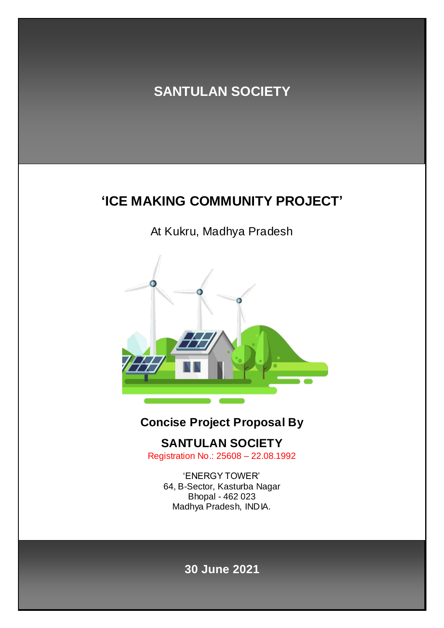# **SANTULAN SOCIETY**

# **'ICE MAKING COMMUNITY PROJECT'**

At Kukru, Madhya Pradesh



### **Concise Project Proposal By**

**SANTULAN SOCIETY**

Registration No.: 25608 – 22.08.1992

'ENERGY TOWER' 64, B-Sector, Kasturba Nagar Bhopal - 462 023 Madhya Pradesh, INDIA.

### **30 June 2021**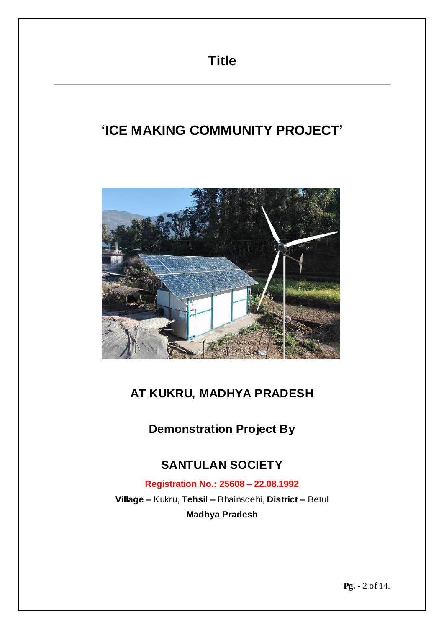# **'ICE MAKING COMMUNITY PROJECT'**



### **AT KUKRU, MADHYA PRADESH**

**Demonstration Project By**

### **SANTULAN SOCIETY**

**Registration No.: 25608 – 22.08.1992**

**Village –** Kukru, **Tehsil –** Bhainsdehi, **District –** Betul **Madhya Pradesh**

**Pg. -** 2 of 14.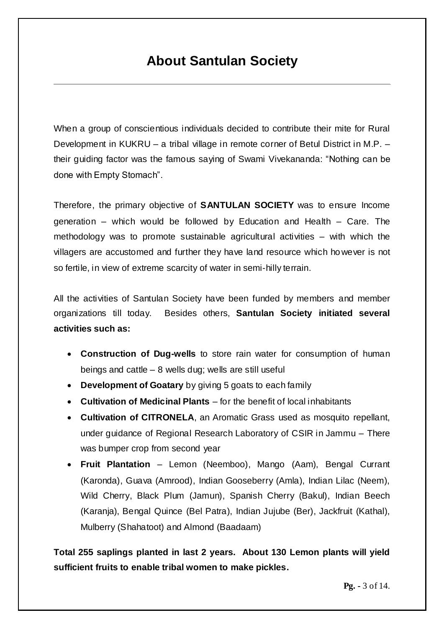### **About Santulan Society**

When a group of conscientious individuals decided to contribute their mite for Rural Development in KUKRU – a tribal village in remote corner of Betul District in M.P. – their guiding factor was the famous saying of Swami Vivekananda: "Nothing can be done with Empty Stomach".

Therefore, the primary objective of **SANTULAN SOCIETY** was to ensure Income generation – which would be followed by Education and Health – Care. The methodology was to promote sustainable agricultural activities – with which the villagers are accustomed and further they have land resource which however is not so fertile, in view of extreme scarcity of water in semi-hilly terrain.

All the activities of Santulan Society have been funded by members and member organizations till today. Besides others, **Santulan Society initiated several activities such as:**

- **Construction of Dug-wells** to store rain water for consumption of human beings and cattle – 8 wells dug; wells are still useful
- **Development of Goatary** by giving 5 goats to each family
- **Cultivation of Medicinal Plants** for the benefit of local inhabitants
- **Cultivation of CITRONELA**, an Aromatic Grass used as mosquito repellant, under guidance of Regional Research Laboratory of CSIR in Jammu – There was bumper crop from second year
- **Fruit Plantation** Lemon (Neemboo), Mango (Aam), Bengal Currant (Karonda), Guava (Amrood), Indian Gooseberry (Amla), Indian Lilac (Neem), Wild Cherry, Black Plum (Jamun), Spanish Cherry (Bakul), Indian Beech (Karanja), Bengal Quince (Bel Patra), Indian Jujube (Ber), Jackfruit (Kathal), Mulberry (Shahatoot) and Almond (Baadaam)

**Total 255 saplings planted in last 2 years. About 130 Lemon plants will yield sufficient fruits to enable tribal women to make pickles.**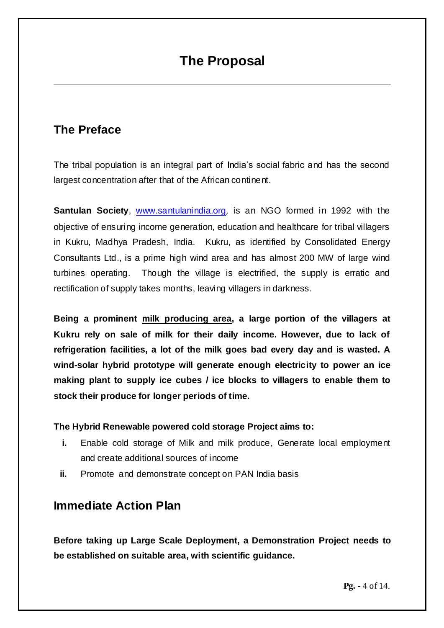# **The Proposal**

### **The Preface**

The tribal population is an integral part of India's social fabric and has the second largest concentration after that of the African continent.

**Santulan Society**, [www.santulanindia.org](http://www.santulanindia.org/), is an NGO formed in 1992 with the objective of ensuring income generation, education and healthcare for tribal villagers in Kukru, Madhya Pradesh, India. Kukru, as identified by Consolidated Energy Consultants Ltd., is a prime high wind area and has almost 200 MW of large wind turbines operating. Though the village is electrified, the supply is erratic and rectification of supply takes months, leaving villagers in darkness.

**Being a prominent milk producing area, a large portion of the villagers at Kukru rely on sale of milk for their daily income. However, due to lack of refrigeration facilities, a lot of the milk goes bad every day and is wasted. A wind-solar hybrid prototype will generate enough electricity to power an ice making plant to supply ice cubes / ice blocks to villagers to enable them to stock their produce for longer periods of time.**

#### **The Hybrid Renewable powered cold storage Project aims to:**

- **i.** Enable cold storage of Milk and milk produce, Generate local employment and create additional sources of income
- **ii.** Promote and demonstrate concept on PAN India basis

### **Immediate Action Plan**

**Before taking up Large Scale Deployment, a Demonstration Project needs to be established on suitable area, with scientific guidance.**

**Pg. -** 4 of 14.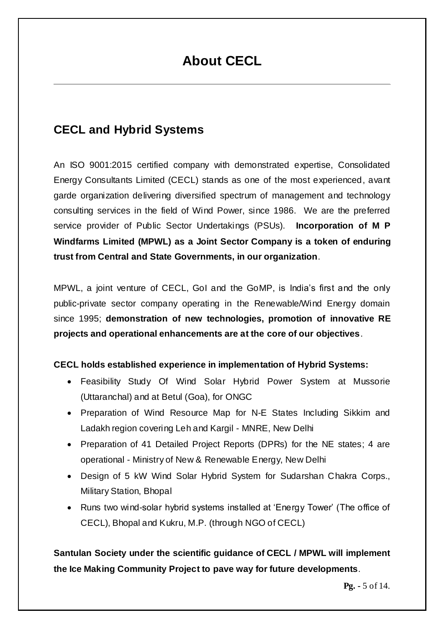# **About CECL**

### **CECL and Hybrid Systems**

An ISO 9001:2015 certified company with demonstrated expertise, Consolidated Energy Consultants Limited (CECL) stands as one of the most experienced, avant garde organization delivering diversified spectrum of management and technology consulting services in the field of Wind Power, since 1986. We are the preferred service provider of Public Sector Undertakings (PSUs). **Incorporation of M P Windfarms Limited (MPWL) as a Joint Sector Company is a token of enduring trust from Central and State Governments, in our organization**.

MPWL, a joint venture of CECL, GoI and the GoMP, is India's first and the only public-private sector company operating in the Renewable/Wind Energy domain since 1995; **demonstration of new technologies, promotion of innovative RE projects and operational enhancements are at the core of our objectives**.

### **CECL holds established experience in implementation of Hybrid Systems:**

- Feasibility Study Of Wind Solar Hybrid Power System at Mussorie (Uttaranchal) and at Betul (Goa), for ONGC
- Preparation of Wind Resource Map for N-E States Including Sikkim and Ladakh region covering Leh and Kargil - MNRE, New Delhi
- Preparation of 41 Detailed Project Reports (DPRs) for the NE states; 4 are operational - Ministry of New & Renewable Energy, New Delhi
- Design of 5 kW Wind Solar Hybrid System for Sudarshan Chakra Corps., Military Station, Bhopal
- Runs two wind-solar hybrid systems installed at 'Energy Tower' (The office of CECL), Bhopal and Kukru, M.P. (through NGO of CECL)

**Santulan Society under the scientific guidance of CECL / MPWL will implement the Ice Making Community Project to pave way for future developments**.

**Pg. -** 5 of 14.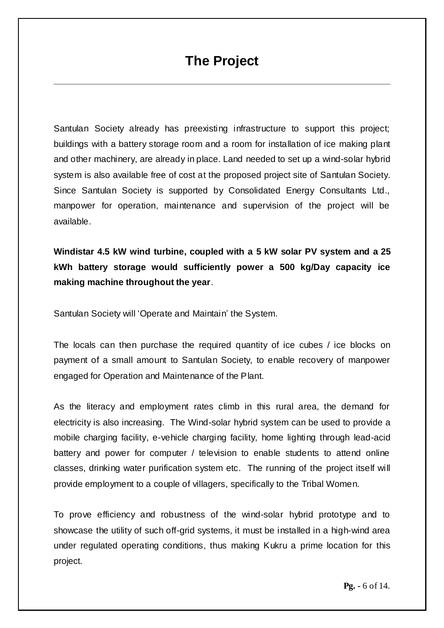# **The Project**

Santulan Society already has preexisting infrastructure to support this project; buildings with a battery storage room and a room for installation of ice making plant and other machinery, are already in place. Land needed to set up a wind-solar hybrid system is also available free of cost at the proposed project site of Santulan Society. Since Santulan Society is supported by Consolidated Energy Consultants Ltd., manpower for operation, maintenance and supervision of the project will be available.

**Windistar 4.5 kW wind turbine, coupled with a 5 kW solar PV system and a 25 kWh battery storage would sufficiently power a 500 kg/Day capacity ice making machine throughout the year**.

Santulan Society will 'Operate and Maintain' the System.

The locals can then purchase the required quantity of ice cubes / ice blocks on payment of a small amount to Santulan Society, to enable recovery of manpower engaged for Operation and Maintenance of the Plant.

As the literacy and employment rates climb in this rural area, the demand for electricity is also increasing. The Wind-solar hybrid system can be used to provide a mobile charging facility, e-vehicle charging facility, home lighting through lead-acid battery and power for computer / television to enable students to attend online classes, drinking water purification system etc. The running of the project itself will provide employment to a couple of villagers, specifically to the Tribal Women.

To prove efficiency and robustness of the wind-solar hybrid prototype and to showcase the utility of such off-grid systems, it must be installed in a high-wind area under regulated operating conditions, thus making Kukru a prime location for this project.

**Pg. -** 6 of 14.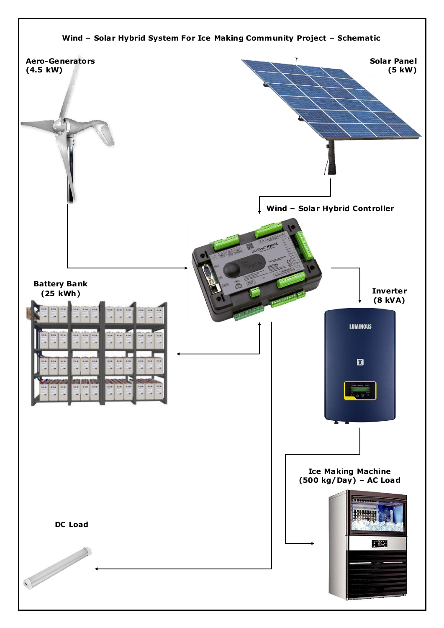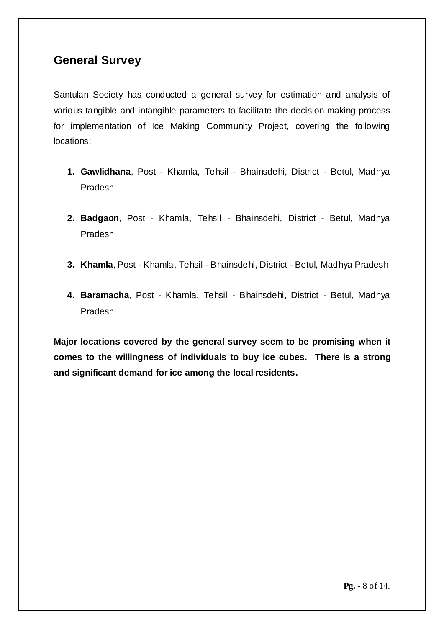### **General Survey**

Santulan Society has conducted a general survey for estimation and analysis of various tangible and intangible parameters to facilitate the decision making process for implementation of Ice Making Community Project, covering the following locations:

- **1. Gawlidhana**, Post Khamla, Tehsil Bhainsdehi, District Betul, Madhya Pradesh
- **2. Badgaon**, Post Khamla, Tehsil Bhainsdehi, District Betul, Madhya Pradesh
- **3. Khamla**, Post Khamla, Tehsil Bhainsdehi, District Betul, Madhya Pradesh
- **4. Baramacha**, Post Khamla, Tehsil Bhainsdehi, District Betul, Madhya Pradesh

**Major locations covered by the general survey seem to be promising when it comes to the willingness of individuals to buy ice cubes. There is a strong and significant demand for ice among the local residents.**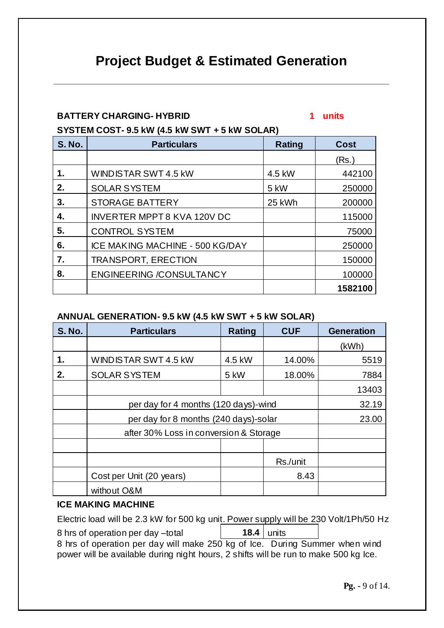# **Project Budget & Estimated Generation**

#### **BATTERY CHARGING- HYBRID 1 units**

**SYSTEM COST- 9.5 kW (4.5 kW SWT + 5 kW SOLAR)**

| <b>S. No.</b> | <b>Particulars</b>                 | <b>Rating</b> | <b>Cost</b> |
|---------------|------------------------------------|---------------|-------------|
|               |                                    |               | (Rs.)       |
| 1.            | WINDISTAR SWT 4.5 kW               | 4.5 kW        | 442100      |
| 2.            | <b>SOLAR SYSTEM</b>                | 5 kW          | 250000      |
| 3.            | <b>STORAGE BATTERY</b>             | 25 kWh        | 200000      |
| 4.            | <b>INVERTER MPPT 8 KVA 120V DC</b> |               | 115000      |
| 5.            | <b>CONTROL SYSTEM</b>              |               | 75000       |
| 6.            | ICE MAKING MACHINE - 500 KG/DAY    |               | 250000      |
| 7.            | <b>TRANSPORT, ERECTION</b>         |               | 150000      |
| 8.            | <b>ENGINEERING /CONSULTANCY</b>    |               | 100000      |
|               |                                    |               | 1582100     |

#### **ANNUAL GENERATION- 9.5 kW (4.5 kW SWT + 5 kW SOLAR)**

| <b>S. No.</b> | <b>Particulars</b>                     | Rating | <b>CUF</b> | <b>Generation</b> |
|---------------|----------------------------------------|--------|------------|-------------------|
|               |                                        |        |            | (kWh)             |
| 1.            | WINDISTAR SWT 4.5 KW                   | 4.5 kW | 14.00%     | 5519              |
| 2.            | <b>SOLAR SYSTEM</b>                    | 5 kW   | 18.00%     | 7884              |
|               |                                        |        |            | 13403             |
|               | per day for 4 months (120 days)-wind   | 32.19  |            |                   |
|               | per day for 8 months (240 days)-solar  | 23.00  |            |                   |
|               | after 30% Loss in conversion & Storage |        |            |                   |
|               |                                        |        |            |                   |
|               |                                        |        | Rs./unit   |                   |
|               | Cost per Unit (20 years)               |        | 8.43       |                   |
|               | without O&M                            |        |            |                   |

#### **ICE MAKING MACHINE**

Electric load will be 2.3 kW for 500 kg unit. Power supply will be 230 Volt/1Ph/50 Hz 8 hrs of operation per day –total **18.4** units 8 hrs of operation per day will make 250 kg of Ice. During Summer when wind power will be available during night hours, 2 shifts will be run to make 500 kg Ice.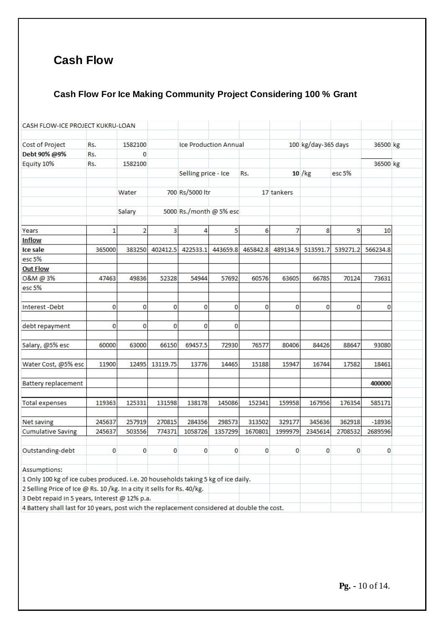### **Cash Flow**

### **Cash Flow For Ice Making Community Project Considering 100 % Grant**

| CASH FLOW-ICE PROJECT KUKRU-LOAN                                                  |                                                                                             |         |          |                              |          |          |            |                     |          |          |  |
|-----------------------------------------------------------------------------------|---------------------------------------------------------------------------------------------|---------|----------|------------------------------|----------|----------|------------|---------------------|----------|----------|--|
| Cost of Project                                                                   | Rs.                                                                                         | 1582100 |          | <b>Ice Production Annual</b> |          |          |            | 100 kg/day-365 days |          | 36500 kg |  |
| Debt 90% @9%                                                                      | Rs.                                                                                         | 0       |          |                              |          |          |            |                     |          |          |  |
| Equity 10%                                                                        | Rs.                                                                                         | 1582100 |          |                              |          |          |            |                     |          | 36500 kg |  |
|                                                                                   |                                                                                             |         |          | Selling price - Ice          |          | Rs.      |            | 10 / kg             | esc 5%   |          |  |
|                                                                                   |                                                                                             |         |          |                              |          |          |            |                     |          |          |  |
|                                                                                   |                                                                                             | Water   |          | 700 Rs/5000 ltr              |          |          | 17 tankers |                     |          |          |  |
|                                                                                   |                                                                                             |         |          |                              |          |          |            |                     |          |          |  |
|                                                                                   |                                                                                             | Salary  |          | 5000 Rs./month @ 5% esc      |          |          |            |                     |          |          |  |
|                                                                                   |                                                                                             |         |          |                              |          |          |            |                     |          |          |  |
| Years                                                                             | 1                                                                                           | 2       | 3        | 4                            | 5        | 6        | 7          | 8                   | 9        | 10       |  |
| <b>Inflow</b>                                                                     |                                                                                             |         |          |                              |          |          |            |                     |          |          |  |
| Ice sale                                                                          | 365000                                                                                      | 383250  | 402412.5 | 422533.1                     | 443659.8 | 465842.8 | 489134.9   | 513591.7            | 539271.2 | 566234.8 |  |
| esc 5%                                                                            |                                                                                             |         |          |                              |          |          |            |                     |          |          |  |
| <b>Out Flow</b>                                                                   |                                                                                             |         |          |                              |          |          |            |                     |          |          |  |
| O&M @ 3%                                                                          | 47463                                                                                       | 49836   | 52328    | 54944                        | 57692    | 60576    | 63605      | 66785               | 70124    | 73631    |  |
| esc 5%                                                                            |                                                                                             |         |          |                              |          |          |            |                     |          |          |  |
|                                                                                   |                                                                                             |         |          |                              |          |          |            |                     |          |          |  |
| <b>Interest-Debt</b>                                                              | 0                                                                                           | 0       | 0        | 0                            | 0        | 0        | 0          | 0                   | 0        | 0        |  |
|                                                                                   |                                                                                             |         |          |                              |          |          |            |                     |          |          |  |
| debt repayment                                                                    | 0                                                                                           | 0       | 0        | 0                            | 0        |          |            |                     |          |          |  |
|                                                                                   |                                                                                             |         |          |                              |          |          |            |                     |          |          |  |
| Salary, @5% esc                                                                   | 60000                                                                                       | 63000   | 66150    | 69457.5                      | 72930    | 76577    | 80406      | 84426               | 88647    | 93080    |  |
|                                                                                   |                                                                                             |         |          |                              |          |          |            |                     |          |          |  |
| Water Cost, @5% esc                                                               | 11900                                                                                       | 12495   | 13119.75 | 13776                        | 14465    | 15188    | 15947      | 16744               | 17582    | 18461    |  |
|                                                                                   |                                                                                             |         |          |                              |          |          |            |                     |          |          |  |
| <b>Battery replacement</b>                                                        |                                                                                             |         |          |                              |          |          |            |                     |          | 400000   |  |
|                                                                                   |                                                                                             |         |          |                              |          |          |            |                     |          |          |  |
| <b>Total expenses</b>                                                             | 119363                                                                                      | 125331  | 131598   | 138178                       | 145086   | 152341   | 159958     | 167956              | 176354   | 585171   |  |
|                                                                                   |                                                                                             |         |          |                              |          |          |            |                     |          |          |  |
| Net saving                                                                        | 245637                                                                                      | 257919  | 270815   | 284356                       | 298573   | 313502   | 329177     | 345636              | 362918   | $-18936$ |  |
| <b>Cumulative Saving</b>                                                          | 245637                                                                                      | 503556  | 774371   | 1058726                      | 1357299  | 1670801  | 1999979    | 2345614             | 2708532  | 2689596  |  |
|                                                                                   |                                                                                             |         |          |                              |          |          |            |                     |          |          |  |
| Outstanding-debt                                                                  | 0                                                                                           | 0       | 0        | 0                            | 0        | 0        | 0          | 0                   | 0        | 0        |  |
|                                                                                   |                                                                                             |         |          |                              |          |          |            |                     |          |          |  |
| Assumptions:                                                                      |                                                                                             |         |          |                              |          |          |            |                     |          |          |  |
| 1 Only 100 kg of ice cubes produced. i.e. 20 households taking 5 kg of ice daily. |                                                                                             |         |          |                              |          |          |            |                     |          |          |  |
| 2 Selling Price of Ice @ Rs. 10 /kg. In a city it sells for Rs. 40/kg.            |                                                                                             |         |          |                              |          |          |            |                     |          |          |  |
| 3 Debt repaid in 5 years, Interest @ 12% p.a.                                     |                                                                                             |         |          |                              |          |          |            |                     |          |          |  |
|                                                                                   | 4 Battery shall last for 10 years, post wich the replacement considered at double the cost. |         |          |                              |          |          |            |                     |          |          |  |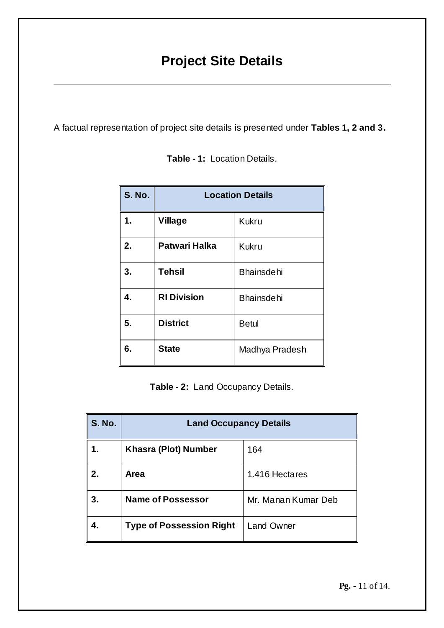# **Project Site Details**

A factual representation of project site details is presented under **Tables 1, 2 and 3.**

| <b>S. No.</b> | <b>Location Details</b> |                   |  |  |  |  |
|---------------|-------------------------|-------------------|--|--|--|--|
| 1.            | <b>Village</b>          | <b>Kukru</b>      |  |  |  |  |
| 2.            | <b>Patwari Halka</b>    | <b>Kukru</b>      |  |  |  |  |
| 3.            | <b>Tehsil</b>           | <b>Bhainsdehi</b> |  |  |  |  |
| 4.            | <b>RI Division</b>      | <b>Bhainsdehi</b> |  |  |  |  |
| 5.            | <b>District</b>         | <b>Betul</b>      |  |  |  |  |
| 6.            | <b>State</b>            | Madhya Pradesh    |  |  |  |  |

**Table - 1:** Location Details.

**Table - 2:** Land Occupancy Details.

| <b>S. No.</b> | <b>Land Occupancy Details</b>   |                     |  |  |  |
|---------------|---------------------------------|---------------------|--|--|--|
|               | <b>Khasra (Plot) Number</b>     | 164                 |  |  |  |
| 2.            | Area                            | 1.416 Hectares      |  |  |  |
| 3.            | <b>Name of Possessor</b>        | Mr. Manan Kumar Deb |  |  |  |
|               | <b>Type of Possession Right</b> | <b>Land Owner</b>   |  |  |  |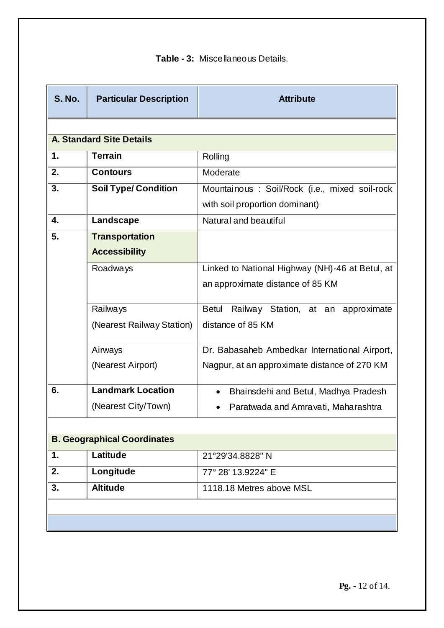|  | <b>Table - 3: Miscellaneous Details.</b> |
|--|------------------------------------------|
|--|------------------------------------------|

| <b>S. No.</b> | <b>Particular Description</b>   | <b>Attribute</b>                                   |
|---------------|---------------------------------|----------------------------------------------------|
|               |                                 |                                                    |
|               | <b>A. Standard Site Details</b> |                                                    |
| 1.            | <b>Terrain</b>                  | Rolling                                            |
| 2.            | <b>Contours</b>                 | Moderate                                           |
| 3.            | <b>Soil Type/ Condition</b>     | Mountainous : Soil/Rock (i.e., mixed soil-rock     |
|               |                                 | with soil proportion dominant)                     |
| 4.            | Landscape                       | Natural and beautiful                              |
| 5.            | <b>Transportation</b>           |                                                    |
|               | <b>Accessibility</b>            |                                                    |
|               | Roadways                        | Linked to National Highway (NH)-46 at Betul, at    |
|               |                                 | an approximate distance of 85 KM                   |
|               | Railways                        | Railway Station, at an approximate<br><b>Betul</b> |
|               | (Nearest Railway Station)       | distance of 85 KM                                  |
|               |                                 |                                                    |
|               | Airways                         | Dr. Babasaheb Ambedkar International Airport,      |
|               | (Nearest Airport)               | Nagpur, at an approximate distance of 270 KM       |
| 6.            | <b>Landmark Location</b>        | Bhainsdehi and Betul, Madhya Pradesh<br>$\bullet$  |
|               | (Nearest City/Town)             | Paratwada and Amravati, Maharashtra                |
|               |                                 |                                                    |

|    | <b>B. Geographical Coordinates</b> |                          |  |  |  |  |
|----|------------------------------------|--------------------------|--|--|--|--|
|    | Latitude                           | 21°29'34.8828" N         |  |  |  |  |
| 2. | Longitude                          | 77° 28′ 13.9224″ E       |  |  |  |  |
| 3. | <b>Altitude</b>                    | 1118.18 Metres above MSL |  |  |  |  |
|    |                                    |                          |  |  |  |  |
|    |                                    |                          |  |  |  |  |

**Pg. -** 12 of 14.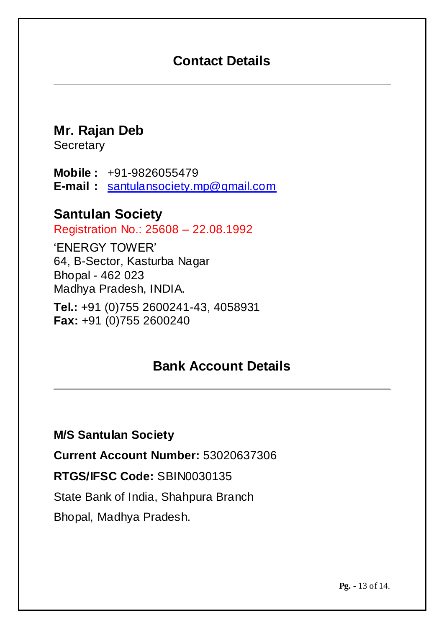# **Contact Details**

**Mr. Rajan Deb**

**Secretary** 

**Mobile :** +91-9826055479 **E-mail :** [santulansociety.mp@gmail.com](mailto:santulansociety.mp@gmail.com)

### **Santulan Society**

Registration No.: 25608 – 22.08.1992

'ENERGY TOWER' 64, B-Sector, Kasturba Nagar Bhopal - 462 023 Madhya Pradesh, INDIA.

**Tel.:** +91 (0)755 2600241-43, 4058931 **Fax:** +91 (0)755 2600240

# **Bank Account Details**

**M/S Santulan Society**

**Current Account Number:** 53020637306

**RTGS/IFSC Code:** SBIN0030135

State Bank of India, Shahpura Branch

Bhopal, Madhya Pradesh.

**Pg. -** 13 of 14.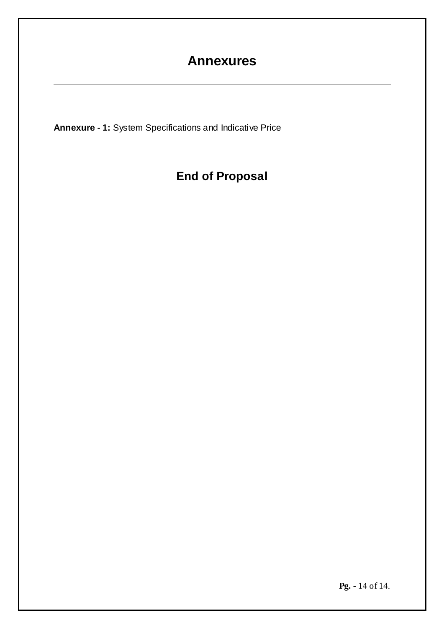# **Annexures**

**Annexure - 1:** System Specifications and Indicative Price

# **End of Proposal**

**Pg. -** 14 of 14.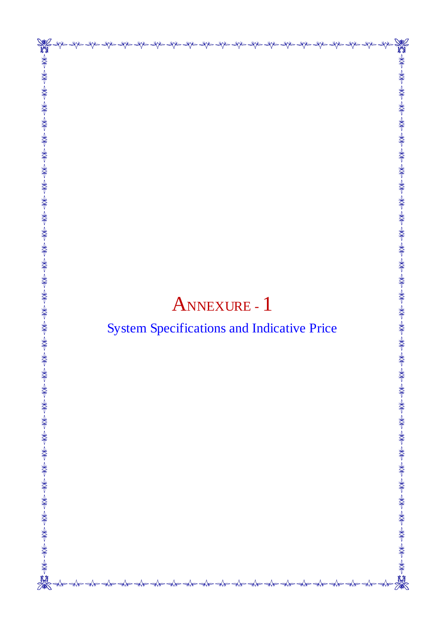# ANNEXURE - 1

**ANT** 

# System Specifications and Indicative Price

 $-\rightarrow$